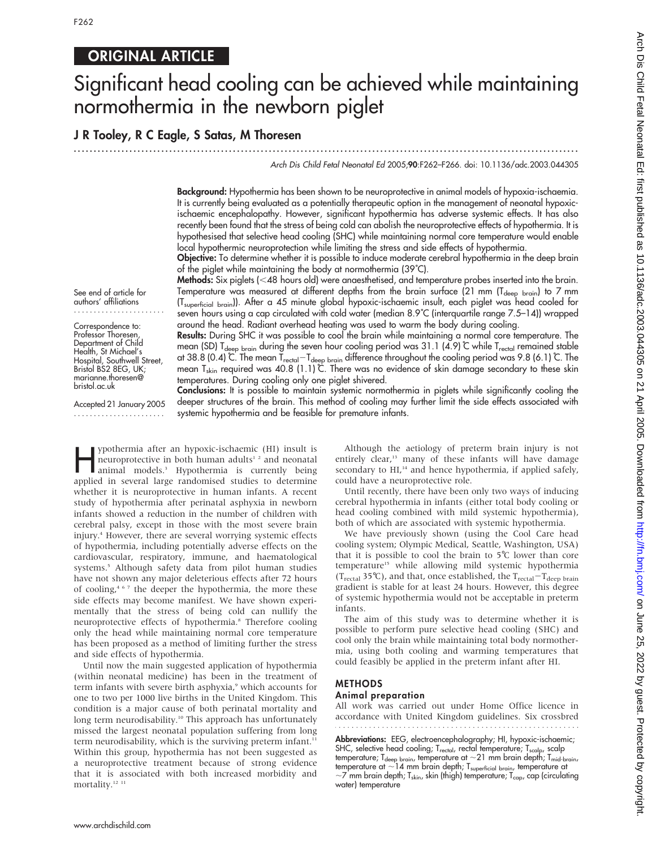See end of article for authors' affiliations ....................... Correspondence to: Professor Thoresen, Department of Child Health, St Michael's Hospital, Southwell Street, Bristol BS2 8EG, UK; marianne.thoresen@ bristol.ac.uk

Accepted 21 January 2005 .......................

# ORIGINAL ARTICLE

# Significant head cooling can be achieved while maintaining normothermia in the newborn piglet

...............................................................................................................................

## J R Tooley, R C Eagle, S Satas, M Thoresen

Arch Dis Child Fetal Neonatal Ed 2005;90:F262–F266. doi: 10.1136/adc.2003.044305

Background: Hypothermia has been shown to be neuroprotective in animal models of hypoxia-ischaemia. It is currently being evaluated as a potentially therapeutic option in the management of neonatal hypoxicischaemic encephalopathy. However, significant hypothermia has adverse systemic effects. It has also recently been found that the stress of being cold can abolish the neuroprotective effects of hypothermia. It is hypothesised that selective head cooling (SHC) while maintaining normal core temperature would enable local hypothermic neuroprotection while limiting the stress and side effects of hypothermia.

Objective: To determine whether it is possible to induce moderate cerebral hypothermia in the deep brain of the piglet while maintaining the body at normothermia (39˚C).

Methods: Six piglets (<48 hours old) were anaesthetised, and temperature probes inserted into the brain. Temperature was measured at different depths from the brain surface (21 mm (T<sub>deep brain</sub>) to 7 mm (Tsuperficial brain)). After a 45 minute global hypoxic-ischaemic insult, each piglet was head cooled for seven hours using a cap circulated with cold water (median 8.9˚C (interquartile range 7.5–14)) wrapped around the head. Radiant overhead heating was used to warm the body during cooling.

Results: During SHC it was possible to cool the brain while maintaining a normal core temperature. The mean (SD) T<sub>deep brain</sub> during the seven hour cooling period was 31.1 (4.9)  $\degree$  while T<sub>rectal</sub> remained stable at 38.8 (0.4) ℃. The mean T<sub>rectal</sub>—T<sub>deep brain</sub> difference throughout the cooling period was 9.8 (6.1) ℃. The mean T<sub>skin</sub> required was 40.8 (1.1)  $\mathring{\mathbb{C}}$ . There was no evidence of skin damage secondary to these skin temperatures. During cooling only one piglet shivered.

Conclusions: It is possible to maintain systemic normothermia in piglets while significantly cooling the deeper structures of the brain. This method of cooling may further limit the side effects associated with systemic hypothermia and be feasible for premature infants.

ypothermia after an hypoxic-ischaemic (HI) insult is<br>neuroprotective in both human adults<sup>12</sup> and neonatal<br>animal models.<sup>3</sup> Hypothermia is currently being neuroprotective in both human adults<sup>12</sup> and neonatal animal models.3 Hypothermia is currently being applied in several large randomised studies to determine whether it is neuroprotective in human infants. A recent study of hypothermia after perinatal asphyxia in newborn infants showed a reduction in the number of children with cerebral palsy, except in those with the most severe brain injury.4 However, there are several worrying systemic effects of hypothermia, including potentially adverse effects on the cardiovascular, respiratory, immune, and haematological systems.<sup>5</sup> Although safety data from pilot human studies have not shown any major deleterious effects after 72 hours of cooling,<sup>467</sup> the deeper the hypothermia, the more these side effects may become manifest. We have shown experimentally that the stress of being cold can nullify the neuroprotective effects of hypothermia.<sup>8</sup> Therefore cooling only the head while maintaining normal core temperature has been proposed as a method of limiting further the stress and side effects of hypothermia.

Until now the main suggested application of hypothermia (within neonatal medicine) has been in the treatment of term infants with severe birth asphyxia,<sup>9</sup> which accounts for one to two per 1000 live births in the United Kingdom. This condition is a major cause of both perinatal mortality and long term neurodisability.<sup>10</sup> This approach has unfortunately missed the largest neonatal population suffering from long term neurodisability, which is the surviving preterm infant.<sup>11</sup> Within this group, hypothermia has not been suggested as a neuroprotective treatment because of strong evidence that it is associated with both increased morbidity and mortality.<sup>12 11</sup>

Although the aetiology of preterm brain injury is not entirely clear,<sup>13</sup> many of these infants will have damage secondary to HI,<sup>14</sup> and hence hypothermia, if applied safely, could have a neuroprotective role.

Until recently, there have been only two ways of inducing cerebral hypothermia in infants (either total body cooling or head cooling combined with mild systemic hypothermia), both of which are associated with systemic hypothermia.

We have previously shown (using the Cool Care head cooling system; Olympic Medical, Seattle, Washington, USA) that it is possible to cool the brain to  $5^{\circ}$ C lower than core temperature<sup>15</sup> while allowing mild systemic hypothermia (T<sub>rectal</sub> 35°C), and that, once established, the T<sub>rectal</sub>-T<sub>deep brain</sub> gradient is stable for at least 24 hours. However, this degree of systemic hypothermia would not be acceptable in preterm infants.

The aim of this study was to determine whether it is possible to perform pure selective head cooling (SHC) and cool only the brain while maintaining total body normothermia, using both cooling and warming temperatures that could feasibly be applied in the preterm infant after HI.

# METHODS

## Animal preparation

All work was carried out under Home Office licence in accordance with United Kingdom guidelines. Six crossbred

Abbreviations: EEG, electroencephalography; HI, hypoxic-ischaemic; SHC, selective head cooling; T<sub>rectal</sub>, rectal temperature; T<sub>scalp</sub>, scalp temperature; T<sub>deep brain</sub>, temperature at  ${\sim}21$  mm brain depth; T<sub>mid-brain</sub>, temperature at  $\sim$ 14 mm brain depth; T $_{\rm superficial~brain}$ , temperature at  ${\sim}$ 7 mm brain depth; T<sub>skin</sub>, skin (thigh) temperature; T<sub>cap</sub>, cap (circulating water) temperature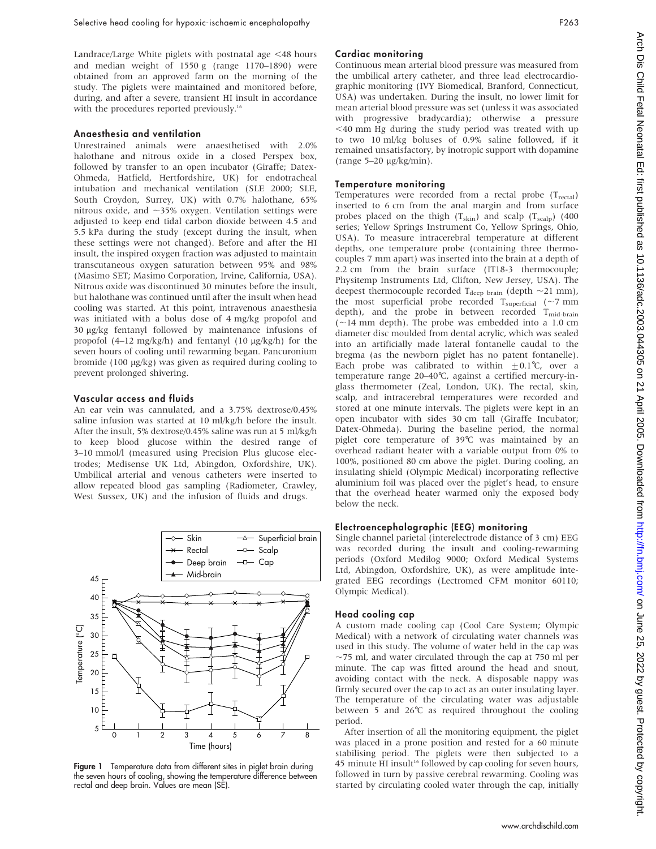Landrace/Large White piglets with postnatal age  $\leq$  48 hours and median weight of 1550 g (range 1170–1890) were obtained from an approved farm on the morning of the study. The piglets were maintained and monitored before, during, and after a severe, transient HI insult in accordance with the procedures reported previously.<sup>16</sup>

#### Anaesthesia and ventilation

Unrestrained animals were anaesthetised with 2.0% halothane and nitrous oxide in a closed Perspex box, followed by transfer to an open incubator (Giraffe; Datex-Ohmeda, Hatfield, Hertfordshire, UK) for endotracheal intubation and mechanical ventilation (SLE 2000; SLE, South Croydon, Surrey, UK) with 0.7% halothane, 65% nitrous oxide, and  $\sim$ 35% oxygen. Ventilation settings were adjusted to keep end tidal carbon dioxide between 4.5 and 5.5 kPa during the study (except during the insult, when these settings were not changed). Before and after the HI insult, the inspired oxygen fraction was adjusted to maintain transcutaneous oxygen saturation between 95% and 98% (Masimo SET; Masimo Corporation, Irvine, California, USA). Nitrous oxide was discontinued 30 minutes before the insult, but halothane was continued until after the insult when head cooling was started. At this point, intravenous anaesthesia was initiated with a bolus dose of 4 mg/kg propofol and 30 mg/kg fentanyl followed by maintenance infusions of propofol (4–12 mg/kg/h) and fentanyl (10 µg/kg/h) for the seven hours of cooling until rewarming began. Pancuronium bromide (100  $\mu$ g/kg) was given as required during cooling to prevent prolonged shivering.

#### Vascular access and fluids

An ear vein was cannulated, and a 3.75% dextrose/0.45% saline infusion was started at 10 ml/kg/h before the insult. After the insult, 5% dextrose/0.45% saline was run at 5 ml/kg/h to keep blood glucose within the desired range of 3–10 mmol/l (measured using Precision Plus glucose electrodes; Medisense UK Ltd, Abingdon, Oxfordshire, UK). Umbilical arterial and venous catheters were inserted to allow repeated blood gas sampling (Radiometer, Crawley, West Sussex, UK) and the infusion of fluids and drugs.



Figure 1 Temperature data from different sites in piglet brain during the seven hours of cooling, showing the temperature difference between rectal and deep brain. Values are mean (SE).

#### Cardiac monitoring

Continuous mean arterial blood pressure was measured from the umbilical artery catheter, and three lead electrocardiographic monitoring (IVY Biomedical, Branford, Connecticut, USA) was undertaken. During the insult, no lower limit for mean arterial blood pressure was set (unless it was associated with progressive bradycardia); otherwise a pressure  $<$  40 mm Hg during the study period was treated with up to two 10 ml/kg boluses of 0.9% saline followed, if it remained unsatisfactory, by inotropic support with dopamine  $(range 5-20 µg/kg/min).$ 

#### Temperature monitoring

Temperatures were recorded from a rectal probe  $(T_{\text{rectal}})$ inserted to 6 cm from the anal margin and from surface probes placed on the thigh  $(T_{\text{skin}})$  and scalp  $(T_{\text{scalp}})$  (400 series; Yellow Springs Instrument Co, Yellow Springs, Ohio, USA). To measure intracerebral temperature at different depths, one temperature probe (containing three thermocouples 7 mm apart) was inserted into the brain at a depth of 2.2 cm from the brain surface (IT18-3 thermocouple; Physitemp Instruments Ltd, Clifton, New Jersey, USA). The deepest thermocouple recorded T<sub>deep brain</sub> (depth  $\sim$ 21 mm), the most superficial probe recorded  $T_{superficial}$  ( $\sim$ 7 mm depth), and the probe in between recorded T<sub>mid-brain</sub>  $(-14 \text{ mm depth})$ . The probe was embedded into a 1.0 cm diameter disc moulded from dental acrylic, which was sealed into an artificially made lateral fontanelle caudal to the bregma (as the newborn piglet has no patent fontanelle). Each probe was calibrated to within  $+0.1^{\circ}C$ , over a temperature range 20–40˚C, against a certified mercury-inglass thermometer (Zeal, London, UK). The rectal, skin, scalp, and intracerebral temperatures were recorded and stored at one minute intervals. The piglets were kept in an open incubator with sides 30 cm tall (Giraffe Incubator; Datex-Ohmeda). During the baseline period, the normal piglet core temperature of 39℃ was maintained by an overhead radiant heater with a variable output from 0% to 100%, positioned 80 cm above the piglet. During cooling, an insulating shield (Olympic Medical) incorporating reflective aluminium foil was placed over the piglet's head, to ensure that the overhead heater warmed only the exposed body below the neck.

#### Electroencephalographic (EEG) monitoring

Single channel parietal (interelectrode distance of 3 cm) EEG was recorded during the insult and cooling-rewarming periods (Oxford Medilog 9000; Oxford Medical Systems Ltd, Abingdon, Oxfordshire, UK), as were amplitude integrated EEG recordings (Lectromed CFM monitor 60110; Olympic Medical).

#### Head cooling cap

A custom made cooling cap (Cool Care System; Olympic Medical) with a network of circulating water channels was used in this study. The volume of water held in the cap was  $\sim$ 75 ml, and water circulated through the cap at 750 ml per minute. The cap was fitted around the head and snout, avoiding contact with the neck. A disposable nappy was firmly secured over the cap to act as an outer insulating layer. The temperature of the circulating water was adjustable between 5 and 26 $°C$  as required throughout the cooling period.

After insertion of all the monitoring equipment, the piglet was placed in a prone position and rested for a 60 minute stabilising period. The piglets were then subjected to a 45 minute HI insult<sup>16</sup> followed by cap cooling for seven hours, followed in turn by passive cerebral rewarming. Cooling was started by circulating cooled water through the cap, initially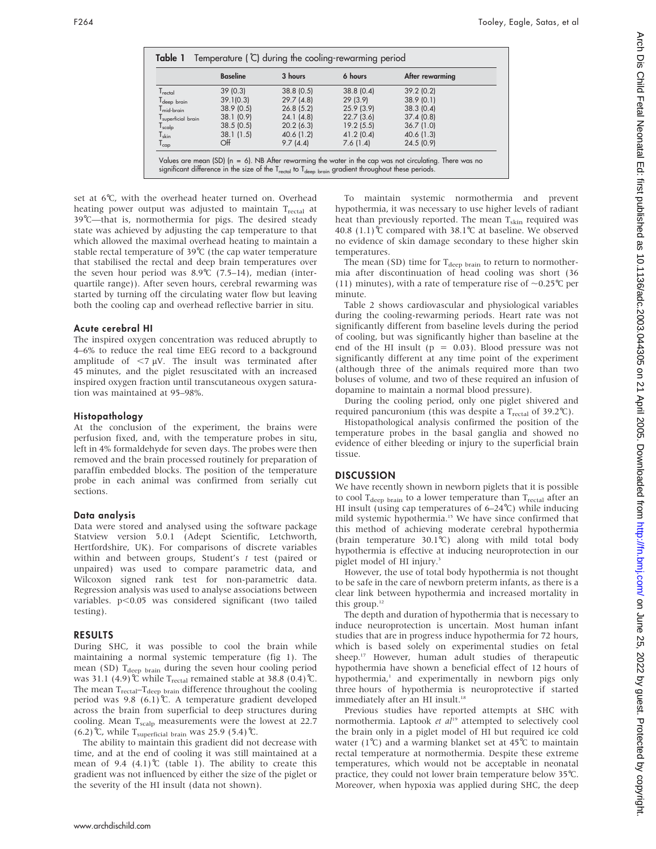|                              | <b>Baseline</b> | 3 hours   | 6 hours   | After rewarming |
|------------------------------|-----------------|-----------|-----------|-----------------|
| $T_{\text{rectal}}$          | 39(0.3)         | 38.8(0.5) | 38.8(0.4) | 39.2(0.2)       |
| T <sub>deep</sub> brain      | 39.1(0.3)       | 29.7(4.8) | 29(3.9)   | 38.9(0.1)       |
| $Tmid$ <sub>brain</sub>      | 38.9(0.5)       | 26.8(5.2) | 25.9(3.9) | 38.3(0.4)       |
| superficial brain            | 38.1(0.9)       | 24.1(4.8) | 22.7(3.6) | 37.4(0.8)       |
| $I_{\text{scal}}$            | 38.5(0.5)       | 20.2(6.3) | 19.2(5.5) | 36.7(1.0)       |
| $\mathsf{T}_{\mathsf{skin}}$ | 38.1(1.5)       | 40.6(1.2) | 41.2(0.4) | 40.6(1.3)       |
| $\mathsf{T}_{\textsf{cap}}$  | Off             | 9.7(4.4)  | 7.6(1.4)  | 24.5(0.9)       |

set at 6℃, with the overhead heater turned on. Overhead heating power output was adjusted to maintain T<sub>rectal</sub> at 39℃—that is, normothermia for pigs. The desired steady state was achieved by adjusting the cap temperature to that which allowed the maximal overhead heating to maintain a stable rectal temperature of  $39^{\circ}$ C (the cap water temperature that stabilised the rectal and deep brain temperatures over the seven hour period was  $8.9^{\circ}C$  (7.5–14), median (interquartile range)). After seven hours, cerebral rewarming was started by turning off the circulating water flow but leaving both the cooling cap and overhead reflective barrier in situ.

#### Acute cerebral HI

The inspired oxygen concentration was reduced abruptly to 4–6% to reduce the real time EEG record to a background amplitude of  $\langle 7 \mu V \rangle$ . The insult was terminated after 45 minutes, and the piglet resuscitated with an increased inspired oxygen fraction until transcutaneous oxygen saturation was maintained at 95–98%.

#### Histopathology

At the conclusion of the experiment, the brains were perfusion fixed, and, with the temperature probes in situ, left in 4% formaldehyde for seven days. The probes were then removed and the brain processed routinely for preparation of paraffin embedded blocks. The position of the temperature probe in each animal was confirmed from serially cut sections.

#### Data analysis

Data were stored and analysed using the software package Statview version 5.0.1 (Adept Scientific, Letchworth, Hertfordshire, UK). For comparisons of discrete variables within and between groups, Student's t test (paired or unpaired) was used to compare parametric data, and Wilcoxon signed rank test for non-parametric data. Regression analysis was used to analyse associations between variables.  $p<0.05$  was considered significant (two tailed testing).

#### RESULTS

During SHC, it was possible to cool the brain while maintaining a normal systemic temperature (fig 1). The mean (SD) T<sub>deep brain</sub> during the seven hour cooling period was 31.1 (4.9)  $\degree$  while T<sub>rectal</sub> remained stable at 38.8 (0.4)  $\degree$ C. The mean  $T_{\text{rectal}}-T_{\text{deep brain}}$  difference throughout the cooling period was 9.8 (6.1)<sup>°</sup>C. A temperature gradient developed across the brain from superficial to deep structures during cooling. Mean T<sub>scalp</sub> measurements were the lowest at 22.7 (6.2) ℃, while T<sub>superficial brain</sub> was 25.9 (5.4) ℃.

The ability to maintain this gradient did not decrease with time, and at the end of cooling it was still maintained at a mean of 9.4  $(4.1)$ °C (table 1). The ability to create this gradient was not influenced by either the size of the piglet or the severity of the HI insult (data not shown).

To maintain systemic normothermia and prevent hypothermia, it was necessary to use higher levels of radiant heat than previously reported. The mean  $T_{\text{skin}}$  required was 40.8 (1.1)℃ compared with 38.1℃ at baseline. We observed no evidence of skin damage secondary to these higher skin temperatures.

The mean (SD) time for  $T_{\text{deep brain}}$  to return to normothermia after discontinuation of head cooling was short (36 (11) minutes), with a rate of temperature rise of  $\sim$ 0.25<sup>°</sup>C per minute.

Table 2 shows cardiovascular and physiological variables during the cooling-rewarming periods. Heart rate was not significantly different from baseline levels during the period of cooling, but was significantly higher than baseline at the end of the HI insult ( $p = 0.03$ ). Blood pressure was not significantly different at any time point of the experiment (although three of the animals required more than two boluses of volume, and two of these required an infusion of dopamine to maintain a normal blood pressure).

During the cooling period, only one piglet shivered and required pancuronium (this was despite a  $T_{\text{rectal}}$  of 39.2°C).

Histopathological analysis confirmed the position of the temperature probes in the basal ganglia and showed no evidence of either bleeding or injury to the superficial brain tissue.

## **DISCUSSION**

We have recently shown in newborn piglets that it is possible to cool  $T_{\text{deen brain}}$  to a lower temperature than  $T_{\text{rectal}}$  after an HI insult (using cap temperatures of  $6-24^{\circ}$ C) while inducing mild systemic hypothermia.<sup>15</sup> We have since confirmed that this method of achieving moderate cerebral hypothermia (brain temperature  $30.1^{\circ}$ C) along with mild total body hypothermia is effective at inducing neuroprotection in our piglet model of HI injury.<sup>3</sup>

However, the use of total body hypothermia is not thought to be safe in the care of newborn preterm infants, as there is a clear link between hypothermia and increased mortality in this group. $12$ 

The depth and duration of hypothermia that is necessary to induce neuroprotection is uncertain. Most human infant studies that are in progress induce hypothermia for 72 hours, which is based solely on experimental studies on fetal sheep.<sup>17</sup> However, human adult studies of therapeutic hypothermia have shown a beneficial effect of 12 hours of hypothermia,<sup>1</sup> and experimentally in newborn pigs only three hours of hypothermia is neuroprotective if started immediately after an HI insult.<sup>18</sup>

Previous studies have reported attempts at SHC with normothermia. Laptook et al<sup>19</sup> attempted to selectively cool the brain only in a piglet model of HI but required ice cold water (1°C) and a warming blanket set at 45°C to maintain rectal temperature at normothermia. Despite these extreme temperatures, which would not be acceptable in neonatal practice, they could not lower brain temperature below 35˚C. Moreover, when hypoxia was applied during SHC, the deep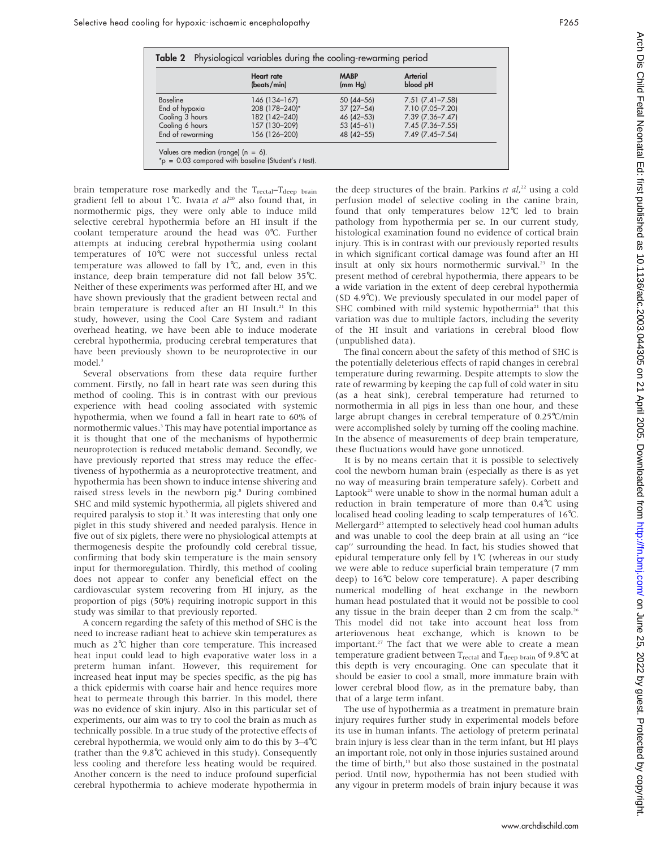|                  | <b>Heart rate</b><br>(beats/min) | <b>MABP</b><br>(mm Hg) | Arterial<br>blood pH     |
|------------------|----------------------------------|------------------------|--------------------------|
| Baseline         | 146 (134-167)                    | $50(44-56)$            | $7.51$ $(7.41 - 7.58)$   |
| End of hypoxia   | 208 (178-240)*                   | $37(27-54)$            | 7.10 (7.05-7.20)         |
| Cooling 3 hours  | 182 (142-240)                    | 46 (42 - 53)           | 7.39 (7.36-7.47)         |
| Cooling 6 hours  | 157 (130-209)                    | $53(45-61)$            | $7.45$ ( $7.36 - 7.55$ ) |
| End of rewarming | 156 (126-200)                    | 48 (42 - 55)           | 7.49 (7.45-7.54)         |

brain temperature rose markedly and the T<sub>rectal</sub>–T<sub>deep brain</sub> gradient fell to about 1°C. Iwata et  $al^{20}$  also found that, in normothermic pigs, they were only able to induce mild selective cerebral hypothermia before an HI insult if the coolant temperature around the head was 0˚C. Further attempts at inducing cerebral hypothermia using coolant temperatures of 10˚C were not successful unless rectal temperature was allowed to fall by  $1^{\circ}C$ , and, even in this instance, deep brain temperature did not fall below 35˚C. Neither of these experiments was performed after HI, and we have shown previously that the gradient between rectal and brain temperature is reduced after an HI Insult.<sup>21</sup> In this study, however, using the Cool Care System and radiant overhead heating, we have been able to induce moderate cerebral hypothermia, producing cerebral temperatures that have been previously shown to be neuroprotective in our model.<sup>3</sup>

Several observations from these data require further comment. Firstly, no fall in heart rate was seen during this method of cooling. This is in contrast with our previous experience with head cooling associated with systemic hypothermia, when we found a fall in heart rate to 60% of normothermic values.<sup>3</sup> This may have potential importance as it is thought that one of the mechanisms of hypothermic neuroprotection is reduced metabolic demand. Secondly, we have previously reported that stress may reduce the effectiveness of hypothermia as a neuroprotective treatment, and hypothermia has been shown to induce intense shivering and raised stress levels in the newborn pig.<sup>8</sup> During combined SHC and mild systemic hypothermia, all piglets shivered and required paralysis to stop it.<sup>3</sup> It was interesting that only one piglet in this study shivered and needed paralysis. Hence in five out of six piglets, there were no physiological attempts at thermogenesis despite the profoundly cold cerebral tissue, confirming that body skin temperature is the main sensory input for thermoregulation. Thirdly, this method of cooling does not appear to confer any beneficial effect on the cardiovascular system recovering from HI injury, as the proportion of pigs (50%) requiring inotropic support in this study was similar to that previously reported.

A concern regarding the safety of this method of SHC is the need to increase radiant heat to achieve skin temperatures as much as 2˚C higher than core temperature. This increased heat input could lead to high evaporative water loss in a preterm human infant. However, this requirement for increased heat input may be species specific, as the pig has a thick epidermis with coarse hair and hence requires more heat to permeate through this barrier. In this model, there was no evidence of skin injury. Also in this particular set of experiments, our aim was to try to cool the brain as much as technically possible. In a true study of the protective effects of cerebral hypothermia, we would only aim to do this by 3–4˚C (rather than the  $9.8^{\circ}$ C achieved in this study). Consequently less cooling and therefore less heating would be required. Another concern is the need to induce profound superficial cerebral hypothermia to achieve moderate hypothermia in

the deep structures of the brain. Parkins et  $al^{22}$ , using a cold perfusion model of selective cooling in the canine brain, found that only temperatures below 12°C led to brain pathology from hypothermia per se. In our current study, histological examination found no evidence of cortical brain injury. This is in contrast with our previously reported results in which significant cortical damage was found after an HI insult at only six hours normothermic survival.23 In the present method of cerebral hypothermia, there appears to be a wide variation in the extent of deep cerebral hypothermia (SD 4.9 $\degree$ C). We previously speculated in our model paper of SHC combined with mild systemic hypothermia<sup>21</sup> that this variation was due to multiple factors, including the severity of the HI insult and variations in cerebral blood flow (unpublished data).

The final concern about the safety of this method of SHC is the potentially deleterious effects of rapid changes in cerebral temperature during rewarming. Despite attempts to slow the rate of rewarming by keeping the cap full of cold water in situ (as a heat sink), cerebral temperature had returned to normothermia in all pigs in less than one hour, and these large abrupt changes in cerebral temperature of 0.25˚C/min were accomplished solely by turning off the cooling machine. In the absence of measurements of deep brain temperature, these fluctuations would have gone unnoticed.

It is by no means certain that it is possible to selectively cool the newborn human brain (especially as there is as yet no way of measuring brain temperature safely). Corbett and Laptook<sup>24</sup> were unable to show in the normal human adult a reduction in brain temperature of more than 0.4˚C using localised head cooling leading to scalp temperatures of 16˚C. Mellergard<sup>25</sup> attempted to selectively head cool human adults and was unable to cool the deep brain at all using an ''ice cap'' surrounding the head. In fact, his studies showed that epidural temperature only fell by  $1^{\circ}C$  (whereas in our study we were able to reduce superficial brain temperature (7 mm deep) to 16˚C below core temperature). A paper describing numerical modelling of heat exchange in the newborn human head postulated that it would not be possible to cool any tissue in the brain deeper than  $2 \text{ cm}$  from the scalp.<sup>26</sup> This model did not take into account heat loss from arteriovenous heat exchange, which is known to be important.<sup>27</sup> The fact that we were able to create a mean temperature gradient between  $T_{\text{rectal}}$  and  $T_{\text{deep brain}}$  of 9.8<sup>o</sup>C at this depth is very encouraging. One can speculate that it should be easier to cool a small, more immature brain with lower cerebral blood flow, as in the premature baby, than that of a large term infant.

The use of hypothermia as a treatment in premature brain injury requires further study in experimental models before its use in human infants. The aetiology of preterm perinatal brain injury is less clear than in the term infant, but HI plays an important role, not only in those injuries sustained around the time of birth,<sup>13</sup> but also those sustained in the postnatal period. Until now, hypothermia has not been studied with any vigour in preterm models of brain injury because it was